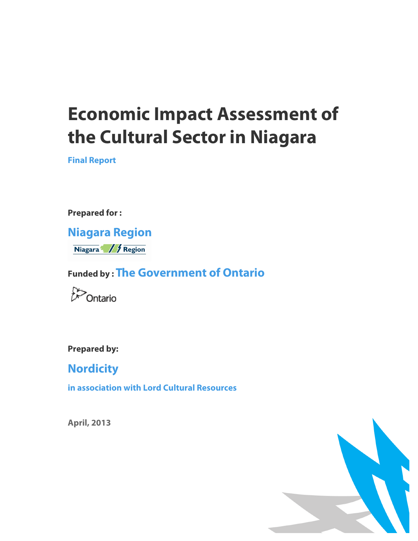# **Economic Impact Assessment of the Cultural Sector in Niagara**

**Final Report**

**Prepared for :** 

**Niagara Region** Niagara / / Region

**Funded by : The Government of Ontario**



**Prepared by:** 

**Nordicity**

**in association with Lord Cultural Resources**

**April, 2013**

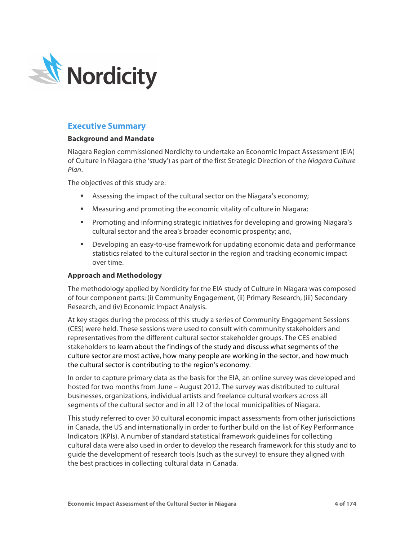

# **Executive Summary**

## **Background and Mandate**

Niagara Region commissioned Nordicity to undertake an Economic Impact Assessment (EIA) of Culture in Niagara (the 'study') as part of the first Strategic Direction of the *Niagara Culture Plan*.

The objectives of this study are:

- Assessing the impact of the cultural sector on the Niagara's economy;
- Measuring and promoting the economic vitality of culture in Niagara;
- § Promoting and informing strategic initiatives for developing and growing Niagara's cultural sector and the area's broader economic prosperity; and,
- § Developing an easy-to-use framework for updating economic data and performance statistics related to the cultural sector in the region and tracking economic impact over time.

# **Approach and Methodology**

The methodology applied by Nordicity for the EIA study of Culture in Niagara was composed of four component parts: (i) Community Engagement, (ii) Primary Research, (iii) Secondary Research, and (iv) Economic Impact Analysis.

At key stages during the process of this study a series of Community Engagement Sessions (CES) were held. These sessions were used to consult with community stakeholders and representatives from the different cultural sector stakeholder groups. The CES enabled stakeholders to learn about the findings of the study and discuss what segments of the culture sector are most active, how many people are working in the sector, and how much the cultural sector is contributing to the region's economy.

In order to capture primary data as the basis for the EIA, an online survey was developed and hosted for two months from June – August 2012. The survey was distributed to cultural businesses, organizations, individual artists and freelance cultural workers across all segments of the cultural sector and in all 12 of the local municipalities of Niagara.

This study referred to over 30 cultural economic impact assessments from other jurisdictions in Canada, the US and internationally in order to further build on the list of Key Performance Indicators (KPIs). A number of standard statistical framework guidelines for collecting cultural data were also used in order to develop the research framework for this study and to guide the development of research tools (such as the survey) to ensure they aligned with the best practices in collecting cultural data in Canada.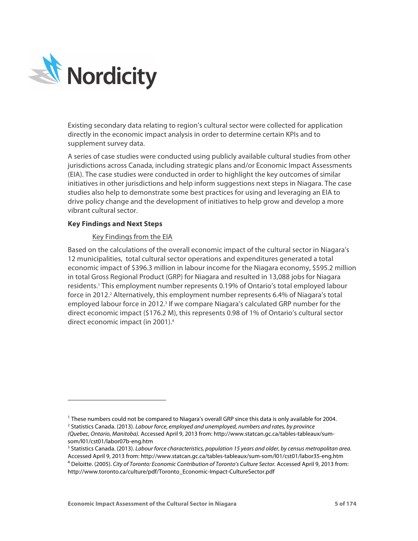

Existing secondary data relating to region's cultural sector were collected for application directly in the economic impact analysis in order to determine certain KPIs and to supplement survey data.

A series of case studies were conducted using publicly available cultural studies from other jurisdictions across Canada, including strategic plans and/or Economic Impact Assessments (EIA). The case studies were conducted in order to highlight the key outcomes of similar initiatives in other jurisdictions and help inform suggestions next steps in Niagara. The case studies also help to demonstrate some best practices for using and leveraging an EIA to drive policy change and the development of initiatives to help grow and develop a more vibrant cultural sector.

## **Key Findings and Next Steps**

<sup>-</sup>

## Key Findings from the EIA

Based on the calculations of the overall economic impact of the cultural sector in Niagara's 12 municipalities, total cultural sector operations and expenditures generated a total economic impact of \$396.3 million in labour income for the Niagara economy, \$595.2 million in total Gross Regional Product (GRP) for Niagara and resulted in 13,088 jobs for Niagara residents.<sup>1</sup> This employment number represents 0.19% of Ontario's total employed labour force in 2012.<sup>2</sup> Alternatively, this employment number represents 6.4% of Niagara's total employed labour force in 2012.<sup>3</sup> If we compare Niagara's calculated GRP number for the direct economic impact (\$176.2 M), this represents 0.98 of 1% of Ontario's cultural sector direct economic impact (in 2001). 4

<sup>&</sup>lt;sup>1</sup> These numbers could not be compared to Niagara's overall GRP since this data is only available for 2004. <sup>2</sup> Statistics Canada. (2013). *Labour force, employed and unemployed, numbers and rates, by province (Quebec, Ontario, Manitoba).* Accessed April 9, 2013 from: http://www.statcan.gc.ca/tables-tableaux/sumsom/l01/cst01/labor07b-eng.htm

<sup>3</sup> Statistics Canada. (2013). *Labour force characteristics, population 15 years and older, by census metropolitan area.* Accessed April 9, 2013 from: http://www.statcan.gc.ca/tables-tableaux/sum-som/l01/cst01/labor35-eng.htm <sup>4</sup> Deloitte. (2005). *City of Toronto: Economic Contribution of Toronto's Culture Sector.* Accessed April 9, 2013 from: http://www.toronto.ca/culture/pdf/Toronto\_Economic-Impact-CultureSector.pdf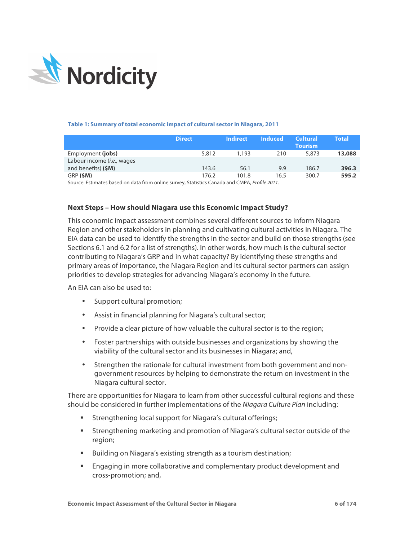

#### **Table 1: Summary of total economic impact of cultural sector in Niagara, 2011**

|                                     | <b>Direct</b> | <b>Indirect</b> | <b>Induced</b> | <b>Cultural</b><br><b>Tourism</b> | Total  |
|-------------------------------------|---------------|-----------------|----------------|-----------------------------------|--------|
| Employment (jobs)                   | 5,812         | 1,193           | 210            | 5,873                             | 13,088 |
| Labour income ( <i>i.e.</i> , wages |               |                 |                |                                   |        |
| and benefits) (\$M)                 | 143.6         | 56.1            | 9.9            | 186.7                             | 396.3  |
| GRP (SM)                            | 176.2         | 101.8           | 16.5           | 300.7                             | 595.2  |

Source: Estimates based on data from online survey, Statistics Canada and CMPA, *Profile 2011*.

# **Next Steps – How should Niagara use this Economic Impact Study?**

This economic impact assessment combines several different sources to inform Niagara Region and other stakeholders in planning and cultivating cultural activities in Niagara. The EIA data can be used to identify the strengths in the sector and build on those strengths (see Sections 6.1 and 6.2 for a list of strengths). In other words, how much is the cultural sector contributing to Niagara's GRP and in what capacity? By identifying these strengths and primary areas of importance, the Niagara Region and its cultural sector partners can assign priorities to develop strategies for advancing Niagara's economy in the future.

An EIA can also be used to:

- Support cultural promotion;
- Assist in financial planning for Niagara's cultural sector;
- Provide a clear picture of how valuable the cultural sector is to the region;
- Foster partnerships with outside businesses and organizations by showing the viability of the cultural sector and its businesses in Niagara; and,
- Strengthen the rationale for cultural investment from both government and nongovernment resources by helping to demonstrate the return on investment in the Niagara cultural sector.

There are opportunities for Niagara to learn from other successful cultural regions and these should be considered in further implementations of the *Niagara Culture Plan* including:

- § Strengthening local support for Niagara's cultural offerings;
- § Strengthening marketing and promotion of Niagara's cultural sector outside of the region;
- Building on Niagara's existing strength as a tourism destination;
- Engaging in more collaborative and complementary product development and cross-promotion; and,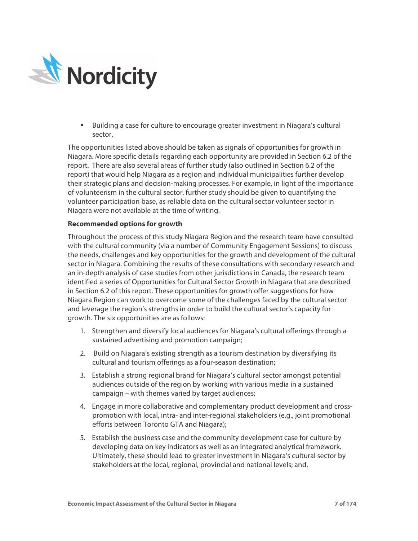

■ Building a case for culture to encourage greater investment in Niagara's cultural sector.

The opportunities listed above should be taken as signals of opportunities for growth in Niagara. More specific details regarding each opportunity are provided in Section 6.2 of the report. There are also several areas of further study (also outlined in Section 6.2 of the report) that would help Niagara as a region and individual municipalities further develop their strategic plans and decision-making processes. For example, in light of the importance of volunteerism in the cultural sector, further study should be given to quantifying the volunteer participation base, as reliable data on the cultural sector volunteer sector in Niagara were not available at the time of writing.

# **Recommended options for growth**

Throughout the process of this study Niagara Region and the research team have consulted with the cultural community (via a number of Community Engagement Sessions) to discuss the needs, challenges and key opportunities for the growth and development of the cultural sector in Niagara. Combining the results of these consultations with secondary research and an in-depth analysis of case studies from other jurisdictions in Canada, the research team identified a series of Opportunities for Cultural Sector Growth in Niagara that are described in Section 6.2 of this report. These opportunities for growth offer suggestions for how Niagara Region can work to overcome some of the challenges faced by the cultural sector and leverage the region's strengths in order to build the cultural sector's capacity for growth. The six opportunities are as follows:

- 1. Strengthen and diversify local audiences for Niagara's cultural offerings through a sustained advertising and promotion campaign;
- 2. Build on Niagara's existing strength as a tourism destination by diversifying its cultural and tourism offerings as a four-season destination;
- 3. Establish a strong regional brand for Niagara's cultural sector amongst potential audiences outside of the region by working with various media in a sustained campaign – with themes varied by target audiences;
- 4. Engage in more collaborative and complementary product development and crosspromotion with local, intra- and inter-regional stakeholders (e.g., joint promotional efforts between Toronto GTA and Niagara);
- 5. Establish the business case and the community development case for culture by developing data on key indicators as well as an integrated analytical framework. Ultimately, these should lead to greater investment in Niagara's cultural sector by stakeholders at the local, regional, provincial and national levels; and,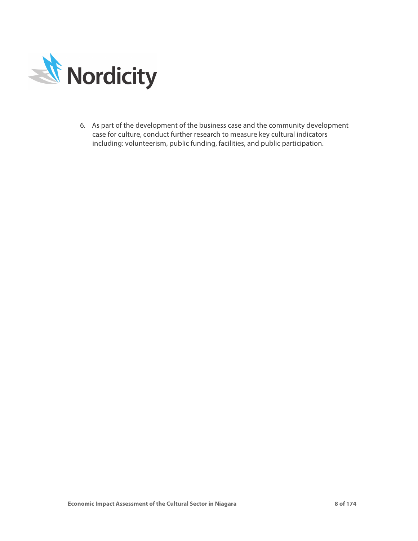

6. As part of the development of the business case and the community development case for culture, conduct further research to measure key cultural indicators including: volunteerism, public funding, facilities, and public participation.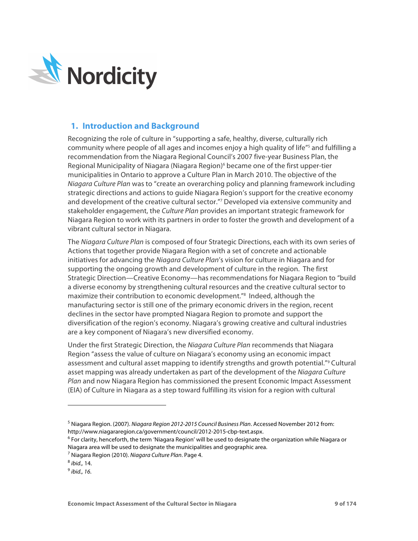

# **1. Introduction and Background**

Recognizing the role of culture in "supporting a safe, healthy, diverse, culturally rich community where people of all ages and incomes enjoy a high quality of life<sup>r5</sup> and fulfilling a recommendation from the Niagara Regional Council's 2007 five-year Business Plan, the Regional Municipality of Niagara (Niagara Region) <sup>6</sup> became one of the first upper-tier municipalities in Ontario to approve a Culture Plan in March 2010. The objective of the *Niagara Culture Plan* was to "create an overarching policy and planning framework including strategic directions and actions to guide Niagara Region's support for the creative economy and development of the creative cultural sector."7 Developed via extensive community and stakeholder engagement, the *Culture Plan* provides an important strategic framework for Niagara Region to work with its partners in order to foster the growth and development of a vibrant cultural sector in Niagara.

The *Niagara Culture Plan* is composed of four Strategic Directions, each with its own series of Actions that together provide Niagara Region with a set of concrete and actionable initiatives for advancing the *Niagara Culture Plan*'s vision for culture in Niagara and for supporting the ongoing growth and development of culture in the region. The first Strategic Direction—Creative Economy—has recommendations for Niagara Region to "build a diverse economy by strengthening cultural resources and the creative cultural sector to maximize their contribution to economic development."8 Indeed, although the manufacturing sector is still one of the primary economic drivers in the region, recent declines in the sector have prompted Niagara Region to promote and support the diversification of the region's economy. Niagara's growing creative and cultural industries are a key component of Niagara's new diversified economy.

Under the first Strategic Direction, the *Niagara Culture Plan* recommends that Niagara Region "assess the value of culture on Niagara's economy using an economic impact assessment and cultural asset mapping to identify strengths and growth potential."9 Cultural asset mapping was already undertaken as part of the development of the *Niagara Culture Plan* and now Niagara Region has commissioned the present Economic Impact Assessment (EIA) of Culture in Niagara as a step toward fulfilling its vision for a region with cultural

- <sup>6</sup> For clarity, henceforth, the term 'Niagara Region' will be used to designate the organization while Niagara or Niagara area will be used to designate the municipalities and geographic area.
- <sup>7</sup> Niagara Region (2010). *Niagara Culture Plan*. Page 4.<br><sup>8</sup> ibid., 14.

-

<sup>5</sup> Niagara Region. (2007). *Niagara Region 2012-2015 Council Business Plan*. Accessed November 2012 from: http://www.niagararegion.ca/government/council/2012-2015-cbp-text.aspx.

<sup>&</sup>lt;sup>9</sup> *ihid* 16.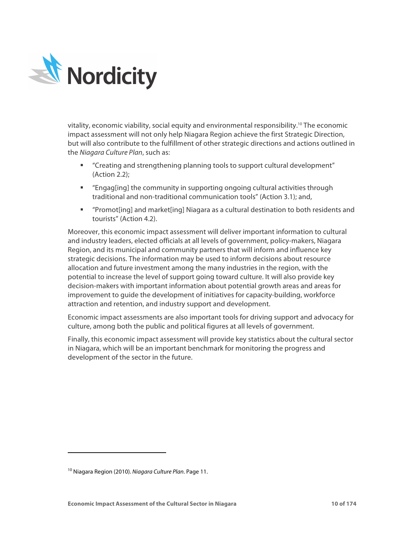

vitality, economic viability, social equity and environmental responsibility.<sup>10</sup> The economic impact assessment will not only help Niagara Region achieve the first Strategic Direction, but will also contribute to the fulfillment of other strategic directions and actions outlined in the *Niagara Culture Plan*, such as:

- § "Creating and strengthening planning tools to support cultural development" (Action 2.2);
- § "Engag[ing] the community in supporting ongoing cultural activities through traditional and non-traditional communication tools" (Action 3.1); and,
- § "Promot[ing] and market[ing] Niagara as a cultural destination to both residents and tourists" (Action 4.2).

Moreover, this economic impact assessment will deliver important information to cultural and industry leaders, elected officials at all levels of government, policy-makers, Niagara Region, and its municipal and community partners that will inform and influence key strategic decisions. The information may be used to inform decisions about resource allocation and future investment among the many industries in the region, with the potential to increase the level of support going toward culture. It will also provide key decision-makers with important information about potential growth areas and areas for improvement to guide the development of initiatives for capacity-building, workforce attraction and retention, and industry support and development.

Economic impact assessments are also important tools for driving support and advocacy for culture, among both the public and political figures at all levels of government.

Finally, this economic impact assessment will provide key statistics about the cultural sector in Niagara, which will be an important benchmark for monitoring the progress and development of the sector in the future.

-

<sup>10</sup> Niagara Region (2010). *Niagara Culture Plan*. Page 11.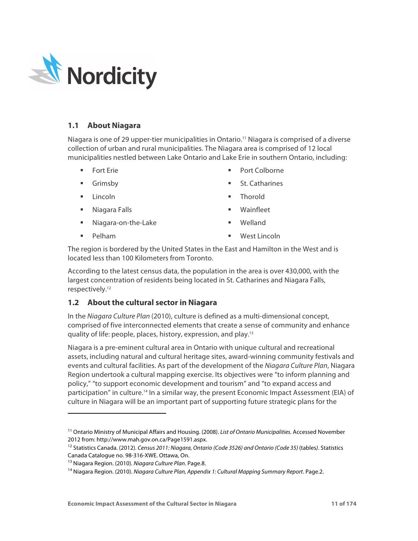

# **1.1 About Niagara**

Niagara is one of 29 upper-tier municipalities in Ontario.11 Niagara is comprised of a diverse collection of urban and rural municipalities. The Niagara area is comprised of 12 local municipalities nestled between Lake Ontario and Lake Erie in southern Ontario, including:

- § Fort Erie
- § Grimsby
- § Lincoln

-

- § Niagara Falls
- § Niagara-on-the-Lake
- Port Colborne
- § St. Catharines
- § Thorold
- § Wainfleet
- § Welland

§ Pelham

■ West Lincoln

The region is bordered by the United States in the East and Hamilton in the West and is located less than 100 Kilometers from Toronto.

According to the latest census data, the population in the area is over 430,000, with the largest concentration of residents being located in St. Catharines and Niagara Falls, respectively.12

# **1.2 About the cultural sector in Niagara**

In the *Niagara Culture Plan* (2010), culture is defined as a multi-dimensional concept, comprised of five interconnected elements that create a sense of community and enhance quality of life: people, places, history, expression, and play.13

Niagara is a pre-eminent cultural area in Ontario with unique cultural and recreational assets, including natural and cultural heritage sites, award-winning community festivals and events and cultural facilities. As part of the development of the *Niagara Culture Plan*, Niagara Region undertook a cultural mapping exercise. Its objectives were "to inform planning and policy," "to support economic development and tourism" and "to expand access and participation" in culture.14 In a similar way, the present Economic Impact Assessment (EIA) of culture in Niagara will be an important part of supporting future strategic plans for the

<sup>11</sup> Ontario Ministry of Municipal Affairs and Housing. (2008). *List of Ontario Municipalities.* Accessed November 2012 from: http://www.mah.gov.on.ca/Page1591.aspx.<br><sup>12</sup> Statistics Canada. (2012). *Census 2011: Niagara, Ontario (Code 3526) and Ontario (Code 35) (tables). Statistics* 

Canada Catalogue no. 98-316-XWE. Ottawa, On.

<sup>13</sup> Niagara Region. (2010). *Niagara Culture Plan*. Page.8.

<sup>14</sup> Niagara Region. (2010). *Niagara Culture Plan, Appendix 1: Cultural Mapping Summary Report*. Page.2.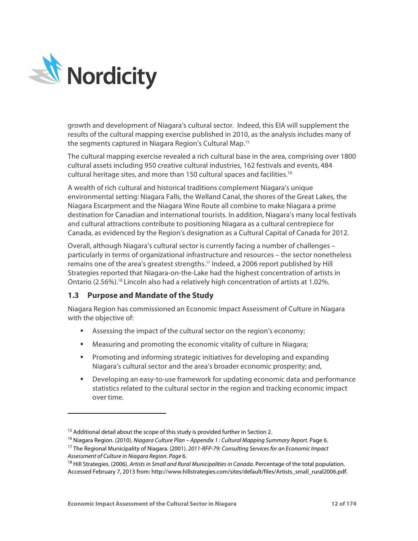

-

growth and development of Niagara's cultural sector. Indeed, this EIA will supplement the results of the cultural mapping exercise published in 2010, as the analysis includes many of the segments captured in Niagara Region's Cultural Map.15

The cultural mapping exercise revealed a rich cultural base in the area, comprising over 1800 cultural assets including 950 creative cultural industries, 162 festivals and events, 484 cultural heritage sites, and more than 150 cultural spaces and facilities. 16

A wealth of rich cultural and historical traditions complement Niagara's unique environmental setting: Niagara Falls, the Welland Canal, the shores of the Great Lakes, the Niagara Escarpment and the Niagara Wine Route all combine to make Niagara a prime destination for Canadian and international tourists. In addition, Niagara's many local festivals and cultural attractions contribute to positioning Niagara as a cultural centrepiece for Canada, as evidenced by the Region's designation as a Cultural Capital of Canada for 2012.

Overall, although Niagara's cultural sector is currently facing a number of challenges – particularly in terms of organizational infrastructure and resources – the sector nonetheless remains one of the area's greatest strengths. <sup>17</sup> Indeed, a 2006 report published by Hill Strategies reported that Niagara-on-the-Lake had the highest concentration of artists in Ontario (2.56%).<sup>18</sup> Lincoln also had a relatively high concentration of artists at 1.02%.

# **1.3 Purpose and Mandate of the Study**

Niagara Region has commissioned an Economic Impact Assessment of Culture in Niagara with the objective of:

- Assessing the impact of the cultural sector on the region's economy;
- Measuring and promoting the economic vitality of culture in Niagara;
- § Promoting and informing strategic initiatives for developing and expanding Niagara's cultural sector and the area's broader economic prosperity; and,
- Developing an easy-to-use framework for updating economic data and performance statistics related to the cultural sector in the region and tracking economic impact over time.

<sup>&</sup>lt;sup>15</sup> Additional detail about the scope of this study is provided further in Section 2.<br><sup>16</sup> Niagara Region. (2010). *Niagara Culture Plan – Appendix 1 : Cultural Mapping Summary Report*. Page 6. <sup>17</sup> The Regional Municipality of Niagara. (2001). *2011-RFP-79: Consulting Services for an Economic Impact* 

*Assessment of Culture in Niagara Region. Page 6. 18 Aigenties in Canada. Percentage of the total population. A<sup>18</sup> Hill Strategies. (2006). Artists in Small and Rural Municipalities in Canada. Percentage of the total* 

Accessed February 7, 2013 from: http://www.hillstrategies.com/sites/default/files/Artists\_small\_rural2006.pdf.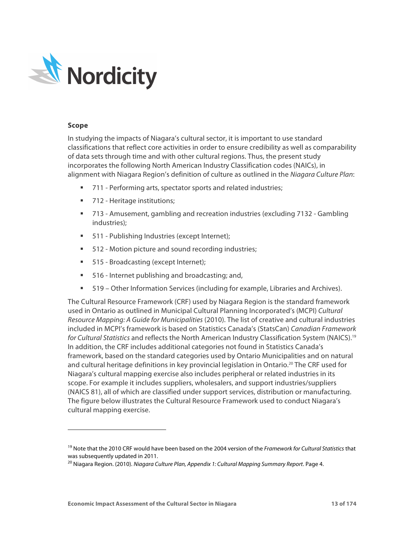

## **Scope**

-

In studying the impacts of Niagara's cultural sector, it is important to use standard classifications that reflect core activities in order to ensure credibility as well as comparability of data sets through time and with other cultural regions. Thus, the present study incorporates the following North American Industry Classification codes (NAICs), in alignment with Niagara Region's definition of culture as outlined in the *Niagara Culture Plan*:

- § 711 Performing arts, spectator sports and related industries;
- 712 Heritage institutions;
- 713 Amusement, gambling and recreation industries (excluding 7132 Gambling industries);
- 511 Publishing Industries (except Internet);
- 512 Motion picture and sound recording industries;
- 515 Broadcasting (except Internet);
- 516 Internet publishing and broadcasting; and,
- 519 Other Information Services (including for example, Libraries and Archives).

The Cultural Resource Framework (CRF) used by Niagara Region is the standard framework used in Ontario as outlined in Municipal Cultural Planning Incorporated's (MCPI) *Cultural Resource Mapping: A Guide for Municipalities* (2010). The list of creative and cultural industries included in MCPI's framework is based on Statistics Canada's (StatsCan) *Canadian Framework for Cultural Statistics* and reflects the North American Industry Classification System (NAICS). 19 In addition, the CRF includes additional categories not found in Statistics Canada's framework, based on the standard categories used by Ontario Municipalities and on natural and cultural heritage definitions in key provincial legislation in Ontario. <sup>20</sup> The CRF used for Niagara's cultural mapping exercise also includes peripheral or related industries in its scope. For example it includes suppliers, wholesalers, and support industries/suppliers (NAICS 81), all of which are classified under support services, distribution or manufacturing. The figure below illustrates the Cultural Resource Framework used to conduct Niagara's cultural mapping exercise.

<sup>19</sup> Note that the 2010 CRF would have been based on the 2004 version of the *Framework for Cultural Statistics* that was subsequently updated in 2011.

<sup>20</sup> Niagara Region. (2010). *Niagara Culture Plan, Appendix 1: Cultural Mapping Summary Report*. Page 4.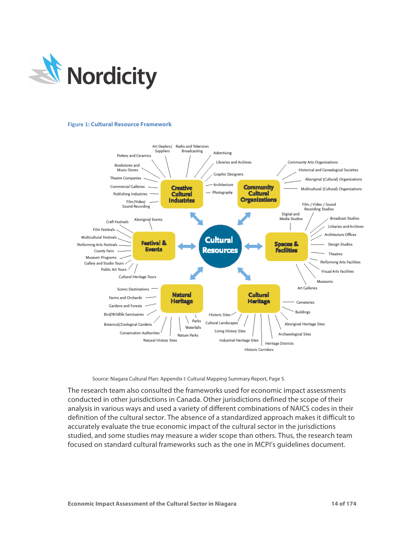

#### **Figure 1: Cultural Resource Framework**



Source: Niagara Cultural Plan: Appendix I: Cultural Mapping Summary Report, Page 5.

The research team also consulted the frameworks used for economic impact assessments conducted in other jurisdictions in Canada. Other jurisdictions defined the scope of their analysis in various ways and used a variety of different combinations of NAICS codes in their definition of the cultural sector. The absence of a standardized approach makes it difficult to accurately evaluate the true economic impact of the cultural sector in the jurisdictions studied, and some studies may measure a wider scope than others. Thus, the research team focused on standard cultural frameworks such as the one in MCPI's guidelines document.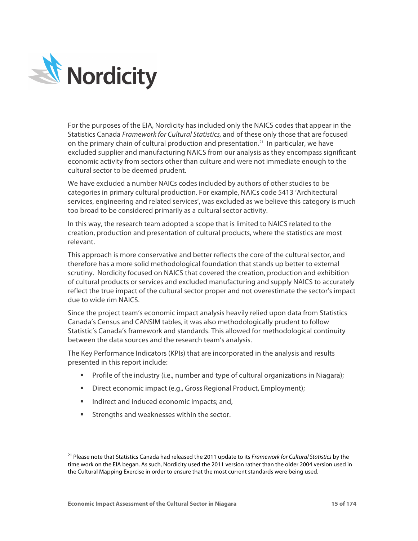

For the purposes of the EIA, Nordicity has included only the NAICS codes that appear in the Statistics Canada *Framework for Cultural Statistics,* and of these only those that are focused on the primary chain of cultural production and presentation.<sup>21</sup> In particular, we have excluded supplier and manufacturing NAICS from our analysis as they encompass significant economic activity from sectors other than culture and were not immediate enough to the cultural sector to be deemed prudent.

We have excluded a number NAICs codes included by authors of other studies to be categories in primary cultural production. For example, NAICs code 5413 'Architectural services, engineering and related services', was excluded as we believe this category is much too broad to be considered primarily as a cultural sector activity.

In this way, the research team adopted a scope that is limited to NAICS related to the creation, production and presentation of cultural products, where the statistics are most relevant.

This approach is more conservative and better reflects the core of the cultural sector, and therefore has a more solid methodological foundation that stands up better to external scrutiny. Nordicity focused on NAICS that covered the creation, production and exhibition of cultural products or services and excluded manufacturing and supply NAICS to accurately reflect the true impact of the cultural sector proper and not overestimate the sector's impact due to wide rim NAICS.

Since the project team's economic impact analysis heavily relied upon data from Statistics Canada's Census and CANSIM tables, it was also methodologically prudent to follow Statistic's Canada's framework and standards. This allowed for methodological continuity between the data sources and the research team's analysis.

The Key Performance Indicators (KPIs) that are incorporated in the analysis and results presented in this report include:

- Profile of the industry (i.e., number and type of cultural organizations in Niagara);
- Direct economic impact (e.g., Gross Regional Product, Employment);
- Indirect and induced economic impacts; and,
- Strengths and weaknesses within the sector.

-

<sup>21</sup> Please note that Statistics Canada had released the 2011 update to its *Framework for Cultural Statistics* by the time work on the EIA began. As such, Nordicity used the 2011 version rather than the older 2004 version used in the Cultural Mapping Exercise in order to ensure that the most current standards were being used.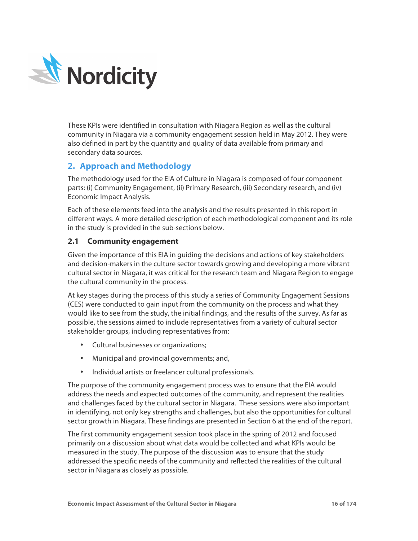

These KPIs were identified in consultation with Niagara Region as well as the cultural community in Niagara via a community engagement session held in May 2012. They were also defined in part by the quantity and quality of data available from primary and secondary data sources.

# **2. Approach and Methodology**

The methodology used for the EIA of Culture in Niagara is composed of four component parts: (i) Community Engagement, (ii) Primary Research, (iii) Secondary research, and (iv) Economic Impact Analysis.

Each of these elements feed into the analysis and the results presented in this report in different ways. A more detailed description of each methodological component and its role in the study is provided in the sub-sections below.

# **2.1 Community engagement**

Given the importance of this EIA in guiding the decisions and actions of key stakeholders and decision-makers in the culture sector towards growing and developing a more vibrant cultural sector in Niagara, it was critical for the research team and Niagara Region to engage the cultural community in the process.

At key stages during the process of this study a series of Community Engagement Sessions (CES) were conducted to gain input from the community on the process and what they would like to see from the study, the initial findings, and the results of the survey. As far as possible, the sessions aimed to include representatives from a variety of cultural sector stakeholder groups, including representatives from:

- Cultural businesses or organizations;
- Municipal and provincial governments; and,
- Individual artists or freelancer cultural professionals.

The purpose of the community engagement process was to ensure that the EIA would address the needs and expected outcomes of the community, and represent the realities and challenges faced by the cultural sector in Niagara. These sessions were also important in identifying, not only key strengths and challenges, but also the opportunities for cultural sector growth in Niagara. These findings are presented in Section 6 at the end of the report.

The first community engagement session took place in the spring of 2012 and focused primarily on a discussion about what data would be collected and what KPIs would be measured in the study. The purpose of the discussion was to ensure that the study addressed the specific needs of the community and reflected the realities of the cultural sector in Niagara as closely as possible.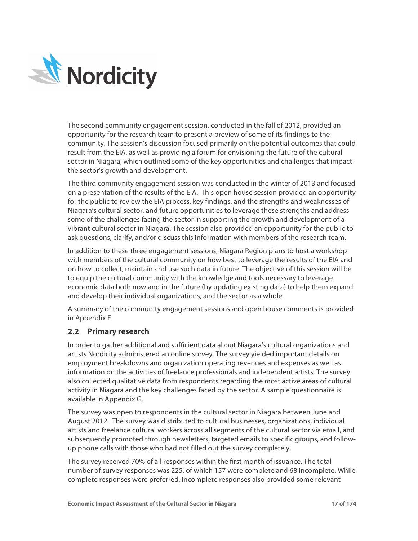

The second community engagement session, conducted in the fall of 2012, provided an opportunity for the research team to present a preview of some of its findings to the community. The session's discussion focused primarily on the potential outcomes that could result from the EIA, as well as providing a forum for envisioning the future of the cultural sector in Niagara, which outlined some of the key opportunities and challenges that impact the sector's growth and development.

The third community engagement session was conducted in the winter of 2013 and focused on a presentation of the results of the EIA. This open house session provided an opportunity for the public to review the EIA process, key findings, and the strengths and weaknesses of Niagara's cultural sector, and future opportunities to leverage these strengths and address some of the challenges facing the sector in supporting the growth and development of a vibrant cultural sector in Niagara. The session also provided an opportunity for the public to ask questions, clarify, and/or discuss this information with members of the research team.

In addition to these three engagement sessions, Niagara Region plans to host a workshop with members of the cultural community on how best to leverage the results of the EIA and on how to collect, maintain and use such data in future. The objective of this session will be to equip the cultural community with the knowledge and tools necessary to leverage economic data both now and in the future (by updating existing data) to help them expand and develop their individual organizations, and the sector as a whole.

A summary of the community engagement sessions and open house comments is provided in Appendix F.

# **2.2 Primary research**

In order to gather additional and sufficient data about Niagara's cultural organizations and artists Nordicity administered an online survey. The survey yielded important details on employment breakdowns and organization operating revenues and expenses as well as information on the activities of freelance professionals and independent artists. The survey also collected qualitative data from respondents regarding the most active areas of cultural activity in Niagara and the key challenges faced by the sector. A sample questionnaire is available in Appendix G.

The survey was open to respondents in the cultural sector in Niagara between June and August 2012. The survey was distributed to cultural businesses, organizations, individual artists and freelance cultural workers across all segments of the cultural sector via email, and subsequently promoted through newsletters, targeted emails to specific groups, and followup phone calls with those who had not filled out the survey completely.

The survey received 70% of all responses within the first month of issuance. The total number of survey responses was 225, of which 157 were complete and 68 incomplete. While complete responses were preferred, incomplete responses also provided some relevant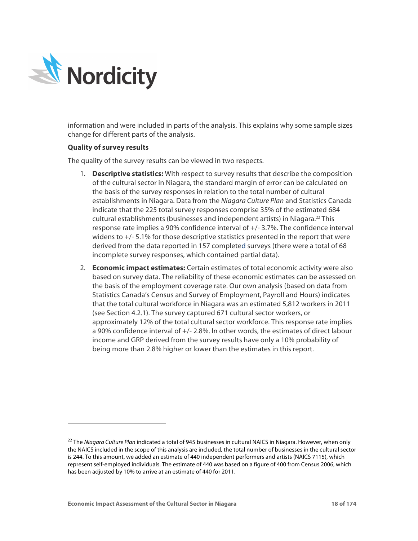

-

information and were included in parts of the analysis. This explains why some sample sizes change for different parts of the analysis.

## **Quality of survey results**

The quality of the survey results can be viewed in two respects.

- 1. **Descriptive statistics:** With respect to survey results that describe the composition of the cultural sector in Niagara, the standard margin of error can be calculated on the basis of the survey responses in relation to the total number of cultural establishments in Niagara. Data from the *Niagara Culture Plan* and Statistics Canada indicate that the 225 total survey responses comprise 35% of the estimated 684 cultural establishments (businesses and independent artists) in Niagara.22 This response rate implies a 90% confidence interval of +/- 3.7%. The confidence interval widens to +/- 5.1% for those descriptive statistics presented in the report that were derived from the data reported in 157 completed surveys (there were a total of 68 incomplete survey responses, which contained partial data).
- 2. **Economic impact estimates:** Certain estimates of total economic activity were also based on survey data. The reliability of these economic estimates can be assessed on the basis of the employment coverage rate. Our own analysis (based on data from Statistics Canada's Census and Survey of Employment, Payroll and Hours) indicates that the total cultural workforce in Niagara was an estimated 5,812 workers in 2011 (see Section 4.2.1). The survey captured 671 cultural sector workers, or approximately 12% of the total cultural sector workforce. This response rate implies a 90% confidence interval of +/- 2.8%. In other words, the estimates of direct labour income and GRP derived from the survey results have only a 10% probability of being more than 2.8% higher or lower than the estimates in this report.

<sup>22</sup> The *Niagara Culture Plan* indicated a total of 945 businesses in cultural NAICS in Niagara. However, when only the NAICS included in the scope of this analysis are included, the total number of businesses in the cultural sector is 244. To this amount, we added an estimate of 440 independent performers and artists (NAICS 7115), which represent self-employed individuals. The estimate of 440 was based on a figure of 400 from Census 2006, which has been adjusted by 10% to arrive at an estimate of 440 for 2011.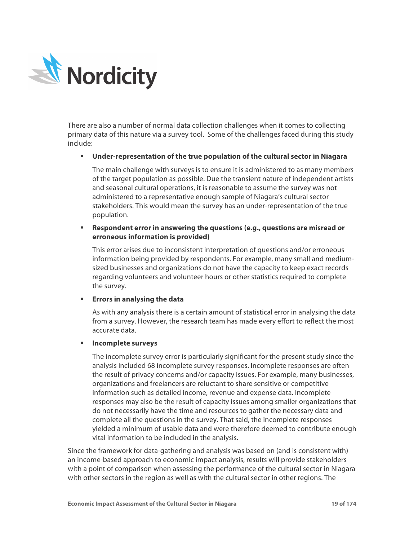

There are also a number of normal data collection challenges when it comes to collecting primary data of this nature via a survey tool. Some of the challenges faced during this study include:

## § **Under-representation of the true population of the cultural sector in Niagara**

The main challenge with surveys is to ensure it is administered to as many members of the target population as possible. Due the transient nature of independent artists and seasonal cultural operations, it is reasonable to assume the survey was not administered to a representative enough sample of Niagara's cultural sector stakeholders. This would mean the survey has an under-representation of the true population.

# § **Respondent error in answering the questions (e.g., questions are misread or erroneous information is provided)**

This error arises due to inconsistent interpretation of questions and/or erroneous information being provided by respondents. For example, many small and mediumsized businesses and organizations do not have the capacity to keep exact records regarding volunteers and volunteer hours or other statistics required to complete the survey.

# § **Errors in analysing the data**

As with any analysis there is a certain amount of statistical error in analysing the data from a survey. However, the research team has made every effort to reflect the most accurate data.

## § **Incomplete surveys**

The incomplete survey error is particularly significant for the present study since the analysis included 68 incomplete survey responses. Incomplete responses are often the result of privacy concerns and/or capacity issues. For example, many businesses, organizations and freelancers are reluctant to share sensitive or competitive information such as detailed income, revenue and expense data. Incomplete responses may also be the result of capacity issues among smaller organizations that do not necessarily have the time and resources to gather the necessary data and complete all the questions in the survey. That said, the incomplete responses yielded a minimum of usable data and were therefore deemed to contribute enough vital information to be included in the analysis.

Since the framework for data-gathering and analysis was based on (and is consistent with) an income-based approach to economic impact analysis, results will provide stakeholders with a point of comparison when assessing the performance of the cultural sector in Niagara with other sectors in the region as well as with the cultural sector in other regions. The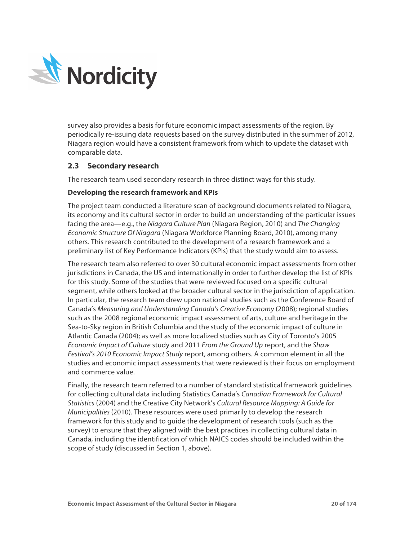

survey also provides a basis for future economic impact assessments of the region. By periodically re-issuing data requests based on the survey distributed in the summer of 2012, Niagara region would have a consistent framework from which to update the dataset with comparable data.

# **2.3 Secondary research**

The research team used secondary research in three distinct ways for this study.

# **Developing the research framework and KPIs**

The project team conducted a literature scan of background documents related to Niagara, its economy and its cultural sector in order to build an understanding of the particular issues facing the area—e.g., the *Niagara Culture Plan* (Niagara Region, 2010) and *The Changing Economic Structure Of Niagara* (Niagara Workforce Planning Board, 2010), among many others. This research contributed to the development of a research framework and a preliminary list of Key Performance Indicators (KPIs) that the study would aim to assess.

The research team also referred to over 30 cultural economic impact assessments from other jurisdictions in Canada, the US and internationally in order to further develop the list of KPIs for this study. Some of the studies that were reviewed focused on a specific cultural segment, while others looked at the broader cultural sector in the jurisdiction of application. In particular, the research team drew upon national studies such as the Conference Board of Canada's *Measuring and Understanding Canada's Creative Economy* (2008); regional studies such as the 2008 regional economic impact assessment of arts, culture and heritage in the Sea-to-Sky region in British Columbia and the study of the economic impact of culture in Atlantic Canada (2004); as well as more localized studies such as City of Toronto's 2005 *Economic Impact of Culture* study and 2011 *From the Ground Up* report, and the *Shaw Festival's 2010 Economic Impact Study* report, among others. A common element in all the studies and economic impact assessments that were reviewed is their focus on employment and commerce value.

Finally, the research team referred to a number of standard statistical framework guidelines for collecting cultural data including Statistics Canada's *Canadian Framework for Cultural Statistics* (2004) and the Creative City Network's *Cultural Resource Mapping: A Guide for Municipalities* (2010). These resources were used primarily to develop the research framework for this study and to guide the development of research tools (such as the survey) to ensure that they aligned with the best practices in collecting cultural data in Canada, including the identification of which NAICS codes should be included within the scope of study (discussed in Section 1, above).